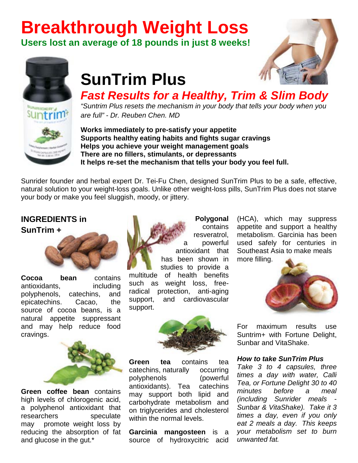# **Breakthrough Weight Loss**

**Users lost an average of 18 pounds in just 8 weeks!**





## **SunTrim Plus**

*Fast Results for a Healthy, Trim & Slim Body*

*"Suntrim Plus resets the mechanism in your body that tells your body when you are full" - Dr. Reuben Chen. MD*

**Works immediately to pre-satisfy your appetite Supports healthy eating habits and fights sugar cravings Helps you achieve your weight management goals There are no fillers, stimulants, or depressants It helps re-set the mechanism that tells your body you feel full.**

Sunrider founder and herbal expert Dr. Tei-Fu Chen, designed SunTrim Plus to be a safe, effective, natural solution to your weight-loss goals. Unlike other weight-loss pills, SunTrim Plus does not starve your body or make you feel sluggish, moody, or jittery.

#### **INGREDIENTS in**

**Sun[Trim +](http://3.bp.blogspot.com/-5PEf7N0-PWA/UMprtKS6RTI/AAAAAAAABUs/psaga2dsNSA/s1600/Cocoa+Bean.jpg)**



**Cocoa bean** contains antioxidants, including polyphenols, catechins, and epicatechins. Cacao, the source of cocoa beans, is a natural appetite suppressant and may help reduce food cravi[ngs.](http://4.bp.blogspot.com/-g0Jrj-pZjp0/UMpsr3LL-gI/AAAAAAAABU8/YstSfnk-Ul4/s1600/green+coffee+bean.jpg)



**Green coffee bean** contains high levels of chlorogenic acid, a polyphenol antioxidant that researchers speculate may promote weight loss by reducing the absorption of fat and glucose in the gut.\*



**Polygonal**  contains resveratrol, a powerful antioxidant that [has been](http://2.bp.blogspot.com/-rce5bzqMrkE/UMptHGyChbI/AAAAAAAABVM/Z4lGNmFnXaY/s1600/Polygonal.jpg) shown in studies to provide a

multitude of health benefits such as weight loss, freeradical protection, anti-aging support, and cardiovascular support.



**Green tea** contains tea catechins, naturally occurring polyphenols (powerful antioxidants). Tea catechins may support both lipid and carbohydrate metabolism and on triglycerides and cholesterol within the normal levels.

**Garcinia mangosteen** is a source of hydroxycitric acid

(HCA), which may suppress appetite and support a healthy metabolism. Garcinia has been used safely for centuries in Southeast Asia to make meals more fill[ing.](http://1.bp.blogspot.com/--Zlfr6WuhxM/UMpsm-a1tsI/AAAAAAAABU0/JTflq5aN0hc/s1600/Garcinia+Mangosteen.jpg)



For maximum results use Suntrim+ with Fortune Delight, Sunbar and VitaShake.

#### *How to take SunTrim Plus*

*Take 3 to 4 capsules, three times a day with water, Calli Tea, or Fortune Delight 30 to 40 minutes before a meal (including Sunrider meals - Sunbar & VitaShake). Take it 3 times a day, even if you only eat 2 meals a day. This keeps your metabolism set to burn unwanted fat.*